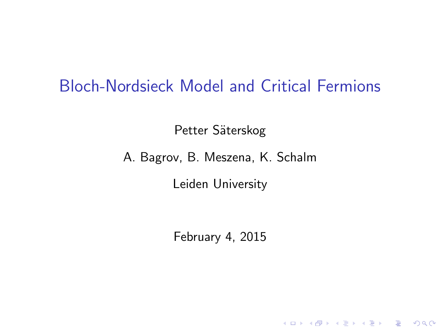#### Bloch-Nordsieck Model and Critical Fermions

Petter Säterskog

A. Bagrov, B. Meszena, K. Schalm

Leiden University

February 4, 2015

K ロ ▶ K @ ▶ K 할 > K 할 > 1 할 > 1 이익어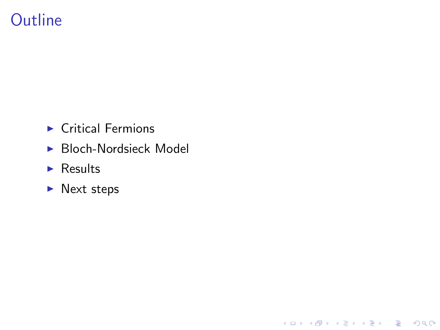## **Outline**

- $\blacktriangleright$  Critical Fermions
- $\blacktriangleright$  Bloch-Nordsieck Model

K ロ ▶ K @ ▶ K 할 ▶ K 할 ▶ | 할 | © 9 Q @

- $\blacktriangleright$  Results
- $\blacktriangleright$  Next steps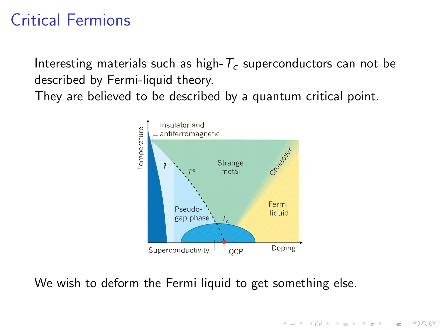# Critical Fermions

Interesting materials such as high- $T_c$  superconductors can not be described by Fermi-liquid theory.

They are believed to be described by a quantum critical point.



 $\mathbf{E} = \mathbf{A} \oplus \mathbf{A} + \mathbf{A} \oplus \mathbf{A} + \mathbf{A} \oplus \mathbf{A} + \mathbf{A} \oplus \mathbf{A} + \mathbf{A} \oplus \mathbf{A} + \mathbf{A} \oplus \mathbf{A} + \mathbf{A} \oplus \mathbf{A} + \mathbf{A} \oplus \mathbf{A} + \mathbf{A} \oplus \mathbf{A} + \mathbf{A} \oplus \mathbf{A} + \mathbf{A} \oplus \mathbf{A} + \mathbf{A} \oplus \mathbf{A} + \mathbf{A} \oplus \mathbf{A} + \mathbf{A$ 

 $2Q$ 

We wish to deform the Fermi liquid to get something else.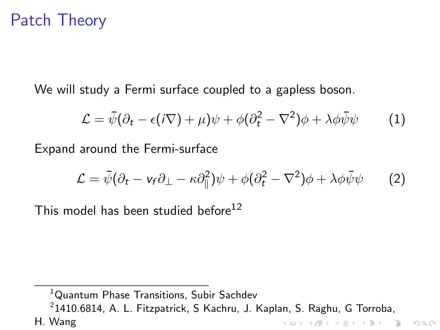## Patch Theory

We will study a Fermi surface coupled to a gapless boson.

$$
\mathcal{L} = \bar{\psi}(\partial_t - \epsilon(i\nabla) + \mu)\psi + \phi(\partial_t^2 - \nabla^2)\phi + \lambda\phi\bar{\psi}\psi \tag{1}
$$

Expand around the Fermi-surface

$$
\mathcal{L} = \bar{\psi}(\partial_t - \nu_f \partial_\perp - \kappa \partial_\parallel^2)\psi + \phi(\partial_t^2 - \nabla^2)\phi + \lambda \phi \bar{\psi}\psi \qquad (2)
$$

This model has been studied before  $12$ 

<sup>1</sup>Quantum Phase Transitions, Subir Sachdev  $^{2}$ 1410.6814, A. L. Fitzpatrick, S Kachru, J. Kaplan, S. Raghu, G Torroba, H. WangK ロ ▶ K @ ▶ K 할 > K 할 > 1 할 > 1 이익어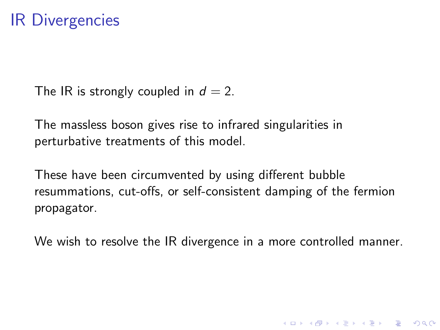### IR Divergencies

The IR is strongly coupled in  $d = 2$ .

The massless boson gives rise to infrared singularities in perturbative treatments of this model.

These have been circumvented by using different bubble resummations, cut-offs, or self-consistent damping of the fermion propagator.

We wish to resolve the IR divergence in a more controlled manner.

**K ロ ▶ K @ ▶ K 할 X X 할 X → 할 X → 9 Q Q ^**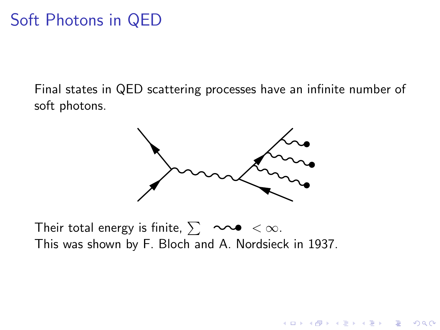## Soft Photons in QED

Final states in QED scattering processes have an infinite number of soft photons.



**KORK ERKER ADE YOUR** 

Their total energy is finite,  $\sum$   $\infty$  <  $\infty$ . This was shown by F. Bloch and A. Nordsieck in 1937.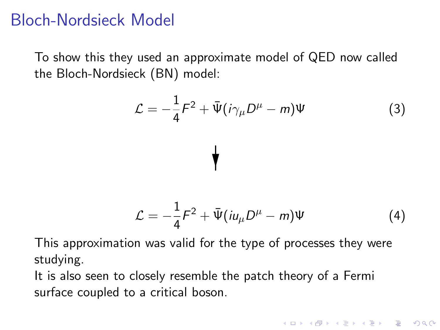## Bloch-Nordsieck Model

To show this they used an approximate model of QED now called the Bloch-Nordsieck (BN) model:

$$
\mathcal{L} = -\frac{1}{4}F^2 + \bar{\Psi}(i\gamma_\mu D^\mu - m)\Psi
$$
\n(3)

$$
\mathcal{L} = -\frac{1}{4}F^2 + \bar{\Psi}(i\mu_\mu D^\mu - m)\Psi
$$
 (4)

**KORKAR KERKER E VOOR** 

This approximation was valid for the type of processes they were studying.

It is also seen to closely resemble the patch theory of a Fermi surface coupled to a critical boson.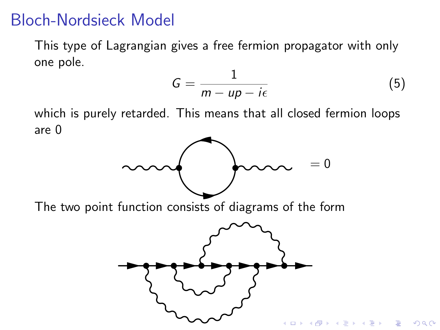## Bloch-Nordsieck Model

This type of Lagrangian gives a free fermion propagator with only one pole.

$$
G = \frac{1}{m - up - i\epsilon} \tag{5}
$$

which is purely retarded. This means that all closed fermion loops are 0



The two point function consists of diagrams of the form

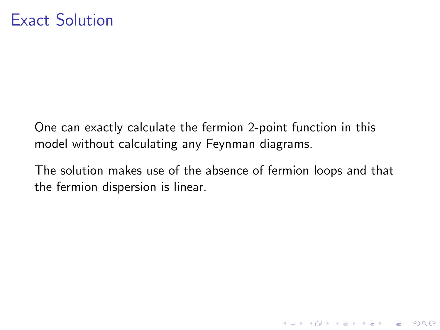One can exactly calculate the fermion 2-point function in this model without calculating any Feynman diagrams.

The solution makes use of the absence of fermion loops and that the fermion dispersion is linear.

K ロ ▶ K @ ▶ K 할 > K 할 > 1 할 > 1 이익어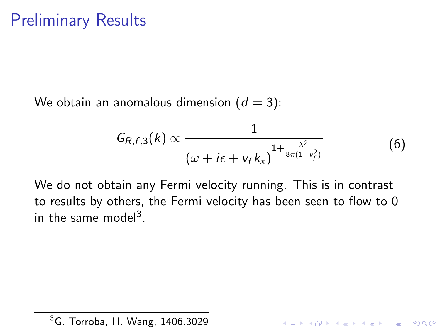We obtain an anomalous dimension  $(d = 3)$ :

$$
G_{R,f,3}(k) \propto \frac{1}{\left(\omega + i\epsilon + v_f k_x\right)^{1 + \frac{\lambda^2}{8\pi(1 - v_f^2)}}}
$$
(6)

**K ロ ▶ K @ ▶ K 할 X X 할 X → 할 X → 9 Q Q ^** 

We do not obtain any Fermi velocity running. This is in contrast to results by others, the Fermi velocity has been seen to flow to 0 in the same model<sup>3</sup>.

<sup>3</sup>G. Torroba, H. Wang, 1406.3029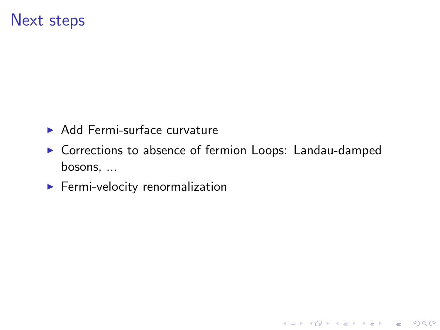#### Next steps

- $\blacktriangleright$  Add Fermi-surface curvature
- ▶ Corrections to absence of fermion Loops: Landau-damped bosons, ...

**K ロ ▶ K @ ▶ K 할 X X 할 X → 할 X → 9 Q Q ^** 

 $\blacktriangleright$  Fermi-velocity renormalization